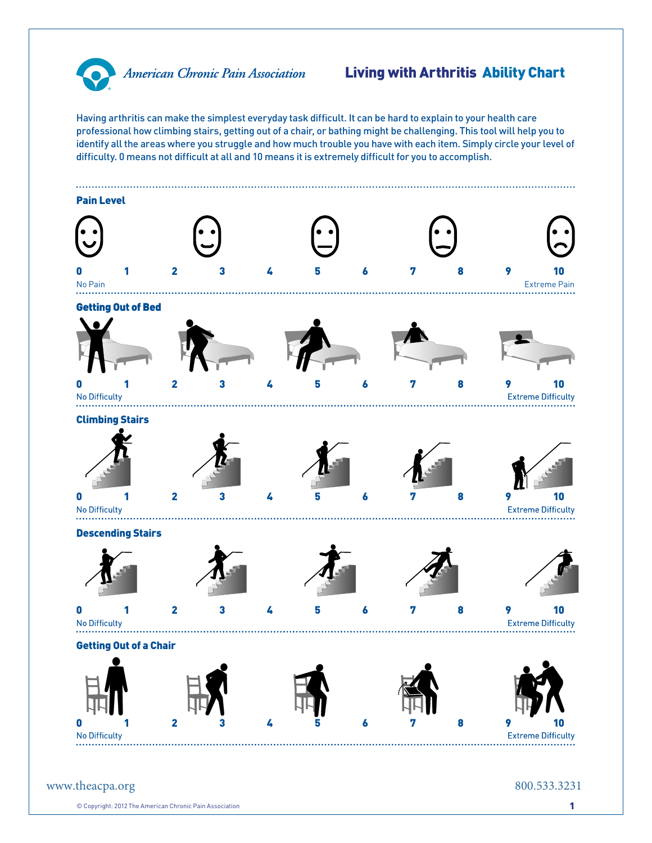

## Living with Arthritis Ability Chart

Having arthritis can make the simplest everyday task difficult. It can be hard to explain to your health care professional how climbing stairs, getting out of a chair, or bathing might be challenging. This tool will help you to identify all the areas where you struggle and how much trouble you have with each item. Simply circle your level of difficulty. 0 means not difficult at all and 10 means it is extremely difficult for you to accomplish.



 $\circledcirc$  Copyright: 2012 The American Chronic Pain Association 1